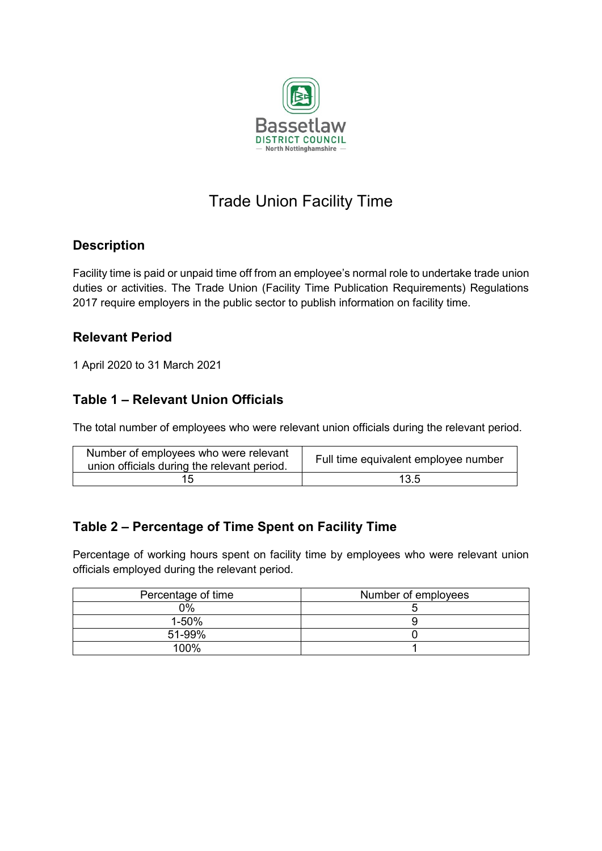

# Trade Union Facility Time

#### **Description**

Facility time is paid or unpaid time off from an employee's normal role to undertake trade union duties or activities. The Trade Union (Facility Time Publication Requirements) Regulations 2017 require employers in the public sector to publish information on facility time.

#### **Relevant Period**

1 April 2020 to 31 March 2021

### **Table 1 – Relevant Union Officials**

The total number of employees who were relevant union officials during the relevant period.

| Number of employees who were relevant<br>union officials during the relevant period. | Full time equivalent employee number |
|--------------------------------------------------------------------------------------|--------------------------------------|
|                                                                                      | 13.5                                 |

### **Table 2 – Percentage of Time Spent on Facility Time**

Percentage of working hours spent on facility time by employees who were relevant union officials employed during the relevant period.

| Percentage of time | Number of employees |
|--------------------|---------------------|
| 0%                 |                     |
| 1-50%              |                     |
| 51-99%             |                     |
| 100%               |                     |